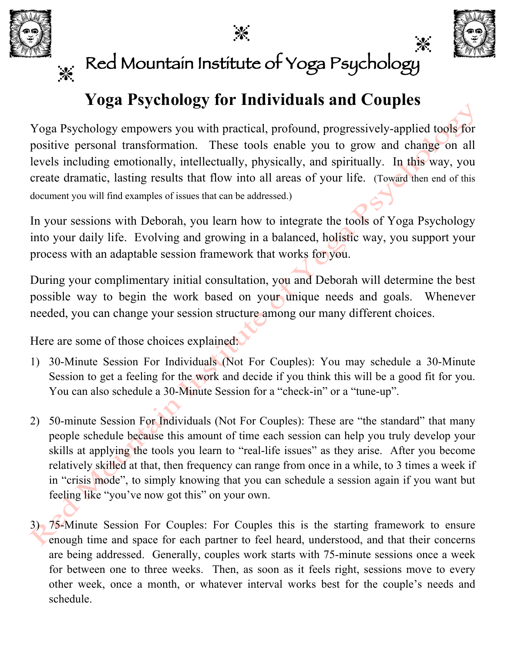



 $\cdot$ 

## Red Mountain Institute of Yoga Psychology

## **Yoga Psychology for Individuals and Couples**

Yoga Psychology empowers you with practical, profound, progressively-applied tools for positive personal transformation. These tools enable you to grow and change on all levels including emotionally, intellectually, physically, and spiritually. In this way, you create dramatic, lasting results that flow into all areas of your life. (Toward then end of this document you will find examples of issues that can be addressed.)

In your sessions with Deborah, you learn how to integrate the tools of Yoga Psychology into your daily life. Evolving and growing in a balanced, holistic way, you support your process with an adaptable session framework that works for you.

During your complimentary initial consultation, you and Deborah will determine the best possible way to begin the work based on your unique needs and goals. Whenever needed, you can change your session structure among our many different choices.

Here are some of those choices explained:

- 1) 30-Minute Session For Individuals (Not For Couples): You may schedule a 30-Minute Session to get a feeling for the work and decide if you think this will be a good fit for you. You can also schedule a 30-Minute Session for a "check-in" or a "tune-up".
- 2) 50-minute Session For Individuals (Not For Couples): These are "the standard" that many people schedule because this amount of time each session can help you truly develop your skills at applying the tools you learn to "real-life issues" as they arise. After you become relatively skilled at that, then frequency can range from once in a while, to 3 times a week if in "crisis mode", to simply knowing that you can schedule a session again if you want but feeling like "you've now got this" on your own.
- 3) 75-Minute Session For Couples: For Couples this is the starting framework to ensure enough time and space for each partner to feel heard, understood, and that their concerns are being addressed. Generally, couples work starts with 75-minute sessions once a week for between one to three weeks. Then, as soon as it feels right, sessions move to every other week, once a month, or whatever interval works best for the couple's needs and schedule.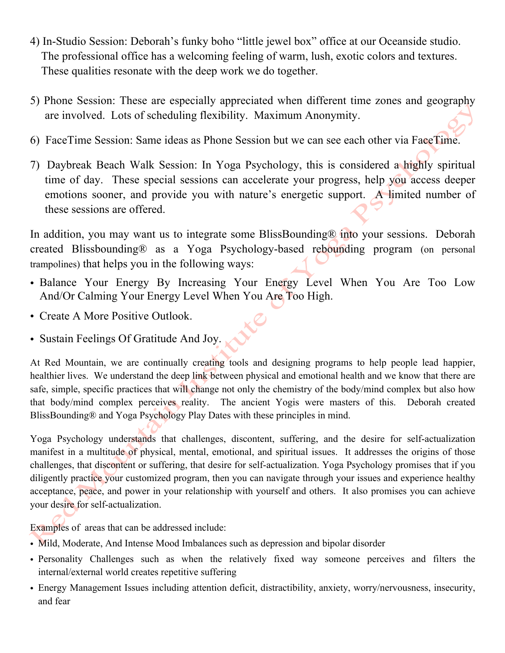- 4) In-Studio Session: Deborah's funky boho "little jewel box" office at our Oceanside studio. The professional office has a welcoming feeling of warm, lush, exotic colors and textures. These qualities resonate with the deep work we do together.
- 5) Phone Session: These are especially appreciated when different time zones and geography are involved. Lots of scheduling flexibility. Maximum Anonymity.
- 6) FaceTime Session: Same ideas as Phone Session but we can see each other via FaceTime.
- 7) Daybreak Beach Walk Session: In Yoga Psychology, this is considered a highly spiritual time of day. These special sessions can accelerate your progress, help you access deeper emotions sooner, and provide you with nature's energetic support. A limited number of these sessions are offered.

In addition, you may want us to integrate some BlissBounding® into your sessions. Deborah created Blissbounding® as a Yoga Psychology-based rebounding program (on personal trampolines) that helps you in the following ways:

- Balance Your Energy By Increasing Your Energy Level When You Are Too Low And/Or Calming Your Energy Level When You Are Too High.
- Create A More Positive Outlook.
- Sustain Feelings Of Gratitude And Joy.

At Red Mountain, we are continually creating tools and designing programs to help people lead happier, healthier lives. We understand the deep link between physical and emotional health and we know that there are safe, simple, specific practices that will change not only the chemistry of the body/mind complex but also how that body/mind complex perceives reality. The ancient Yogis were masters of this. Deborah created BlissBounding® and Yoga Psychology Play Dates with these principles in mind.

Yoga Psychology understands that challenges, discontent, suffering, and the desire for self-actualization manifest in a multitude of physical, mental, emotional, and spiritual issues. It addresses the origins of those challenges, that discontent or suffering, that desire for self-actualization. Yoga Psychology promises that if you diligently practice your customized program, then you can navigate through your issues and experience healthy acceptance, peace, and power in your relationship with yourself and others. It also promises you can achieve your desire for self-actualization.

Examples of areas that can be addressed include:

- Mild, Moderate, And Intense Mood Imbalances such as depression and bipolar disorder
- Personality Challenges such as when the relatively fixed way someone perceives and filters the internal/external world creates repetitive suffering
- Energy Management Issues including attention deficit, distractibility, anxiety, worry/nervousness, insecurity, and fear